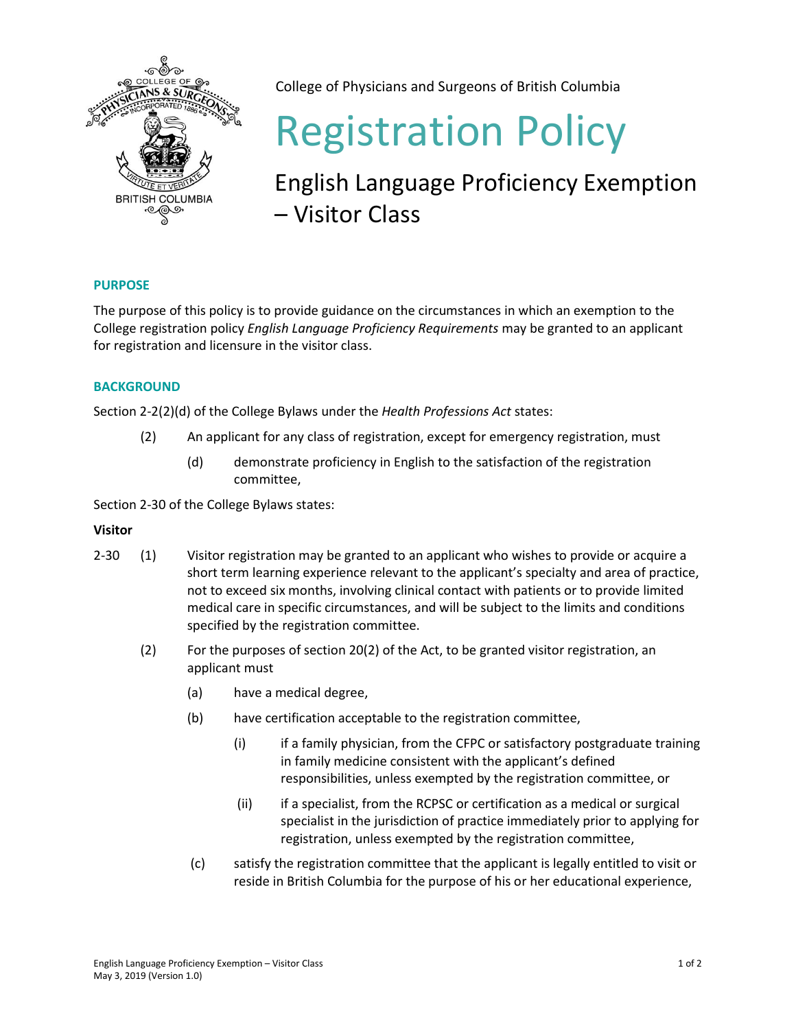

College of Physicians and Surgeons of British Columbia

# Registration Policy

# English Language Proficiency Exemption – Visitor Class

## **PURPOSE**

The purpose of this policy is to provide guidance on the circumstances in which an exemption to the College registration policy *English Language Proficiency Requirements* may be granted to an applicant for registration and licensure in the visitor class.

### **BACKGROUND**

Section 2-2(2)(d) of the College Bylaws under the *Health Professions Act* states:

- (2) An applicant for any class of registration, except for emergency registration, must
	- (d) demonstrate proficiency in English to the satisfaction of the registration committee,

Section 2-30 of the College Bylaws states:

### **Visitor**

- 2-30 (1) Visitor registration may be granted to an applicant who wishes to provide or acquire a short term learning experience relevant to the applicant's specialty and area of practice, not to exceed six months, involving clinical contact with patients or to provide limited medical care in specific circumstances, and will be subject to the limits and conditions specified by the registration committee.
	- (2) For the purposes of section 20(2) of the Act, to be granted visitor registration, an applicant must
		- (a) have a medical degree,
		- (b) have certification acceptable to the registration committee,
			- (i) if a family physician, from the CFPC or satisfactory postgraduate training in family medicine consistent with the applicant's defined responsibilities, unless exempted by the registration committee, or
			- (ii) if a specialist, from the RCPSC or certification as a medical or surgical specialist in the jurisdiction of practice immediately prior to applying for registration, unless exempted by the registration committee,
		- (c) satisfy the registration committee that the applicant is legally entitled to visit or reside in British Columbia for the purpose of his or her educational experience,